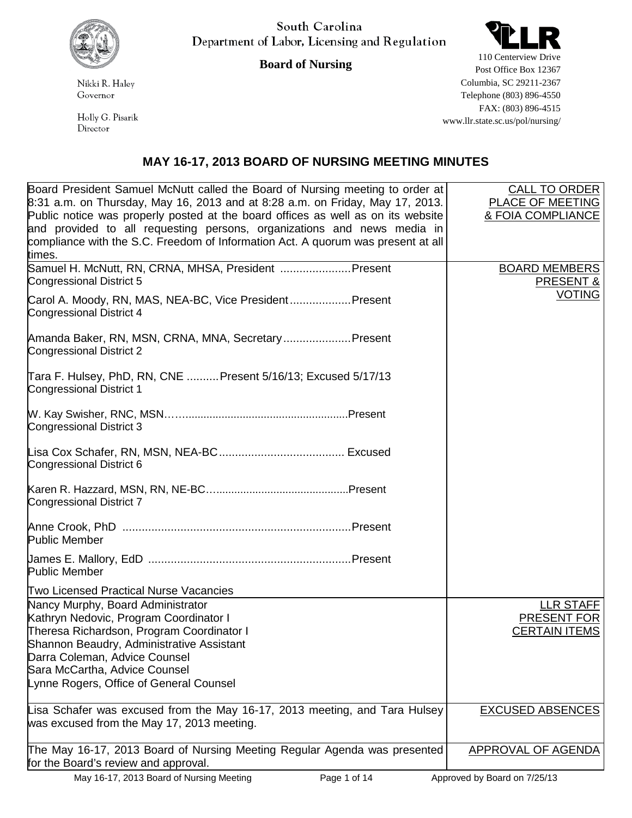

South Carolina Department of Labor, Licensing and Regulation



**Board of Nursing**

Nikki R. Haley Governor

Holly G. Pisarik Director

110 Centerview Drive Post Office Box 12367 Columbia, SC 29211-2367 Telephone (803) 896-4550 FAX: (803) 896-4515 www.llr.state.sc.us/pol/nursing/

## **MAY 16-17, 2013 BOARD OF NURSING MEETING MINUTES**

| Board President Samuel McNutt called the Board of Nursing meeting to order at<br>8:31 a.m. on Thursday, May 16, 2013 and at 8:28 a.m. on Friday, May 17, 2013.<br>Public notice was properly posted at the board offices as well as on its website<br>and provided to all requesting persons, organizations and news media in<br>compliance with the S.C. Freedom of Information Act. A quorum was present at all<br>times. | <b>CALL TO ORDER</b><br>PLACE OF MEETING<br>& FOIA COMPLIANCE |
|-----------------------------------------------------------------------------------------------------------------------------------------------------------------------------------------------------------------------------------------------------------------------------------------------------------------------------------------------------------------------------------------------------------------------------|---------------------------------------------------------------|
| Samuel H. McNutt, RN, CRNA, MHSA, President  Present<br>Congressional District 5                                                                                                                                                                                                                                                                                                                                            | <b>BOARD MEMBERS</b><br><b>PRESENT &amp;</b>                  |
| Carol A. Moody, RN, MAS, NEA-BC, Vice President Present<br>Congressional District 4                                                                                                                                                                                                                                                                                                                                         | <b>VOTING</b>                                                 |
| Amanda Baker, RN, MSN, CRNA, MNA, Secretary Present<br>Congressional District 2                                                                                                                                                                                                                                                                                                                                             |                                                               |
| Tara F. Hulsey, PhD, RN, CNE Present 5/16/13; Excused 5/17/13<br>Congressional District 1                                                                                                                                                                                                                                                                                                                                   |                                                               |
| Congressional District 3                                                                                                                                                                                                                                                                                                                                                                                                    |                                                               |
| Congressional District 6                                                                                                                                                                                                                                                                                                                                                                                                    |                                                               |
| Congressional District 7                                                                                                                                                                                                                                                                                                                                                                                                    |                                                               |
| <b>Public Member</b>                                                                                                                                                                                                                                                                                                                                                                                                        |                                                               |
| <b>Public Member</b>                                                                                                                                                                                                                                                                                                                                                                                                        |                                                               |
| Two Licensed Practical Nurse Vacancies                                                                                                                                                                                                                                                                                                                                                                                      |                                                               |
| Nancy Murphy, Board Administrator<br>Kathryn Nedovic, Program Coordinator I<br>Theresa Richardson, Program Coordinator I                                                                                                                                                                                                                                                                                                    | <b>LLR STAFF</b><br>PRESENT FOR<br><b>CERTAIN ITEMS</b>       |
| Shannon Beaudry, Administrative Assistant                                                                                                                                                                                                                                                                                                                                                                                   |                                                               |
| Darra Coleman, Advice Counsel                                                                                                                                                                                                                                                                                                                                                                                               |                                                               |
| Sara McCartha, Advice Counsel                                                                                                                                                                                                                                                                                                                                                                                               |                                                               |
| Lynne Rogers, Office of General Counsel                                                                                                                                                                                                                                                                                                                                                                                     |                                                               |
| Lisa Schafer was excused from the May 16-17, 2013 meeting, and Tara Hulsey<br>was excused from the May 17, 2013 meeting.                                                                                                                                                                                                                                                                                                    | <b>EXCUSED ABSENCES</b>                                       |
| The May 16-17, 2013 Board of Nursing Meeting Regular Agenda was presented<br>for the Board's review and approval.                                                                                                                                                                                                                                                                                                           | <b>APPROVAL OF AGENDA</b>                                     |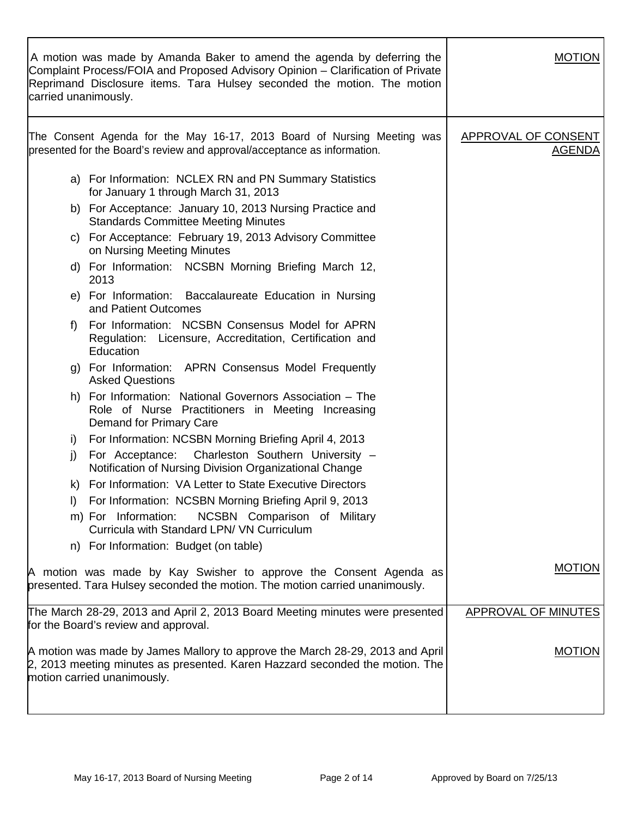| carried unanimously. | A motion was made by Amanda Baker to amend the agenda by deferring the<br>Complaint Process/FOIA and Proposed Advisory Opinion – Clarification of Private<br>Reprimand Disclosure items. Tara Hulsey seconded the motion. The motion | <b>MOTION</b>                               |
|----------------------|--------------------------------------------------------------------------------------------------------------------------------------------------------------------------------------------------------------------------------------|---------------------------------------------|
|                      | The Consent Agenda for the May 16-17, 2013 Board of Nursing Meeting was<br>presented for the Board's review and approval/acceptance as information.                                                                                  | <b>APPROVAL OF CONSENT</b><br><b>AGENDA</b> |
|                      | a) For Information: NCLEX RN and PN Summary Statistics<br>for January 1 through March 31, 2013                                                                                                                                       |                                             |
|                      | b) For Acceptance: January 10, 2013 Nursing Practice and<br><b>Standards Committee Meeting Minutes</b>                                                                                                                               |                                             |
|                      | c) For Acceptance: February 19, 2013 Advisory Committee<br>on Nursing Meeting Minutes                                                                                                                                                |                                             |
|                      | d) For Information: NCSBN Morning Briefing March 12,<br>2013                                                                                                                                                                         |                                             |
|                      | e) For Information: Baccalaureate Education in Nursing<br>and Patient Outcomes                                                                                                                                                       |                                             |
| f)                   | For Information: NCSBN Consensus Model for APRN<br>Regulation: Licensure, Accreditation, Certification and<br>Education                                                                                                              |                                             |
|                      | g) For Information: APRN Consensus Model Frequently<br><b>Asked Questions</b>                                                                                                                                                        |                                             |
|                      | h) For Information: National Governors Association - The<br>Role of Nurse Practitioners in Meeting Increasing<br>Demand for Primary Care                                                                                             |                                             |
| i)                   | For Information: NCSBN Morning Briefing April 4, 2013                                                                                                                                                                                |                                             |
| j)                   | Charleston Southern University -<br>For Acceptance:<br>Notification of Nursing Division Organizational Change                                                                                                                        |                                             |
| K)                   | For Information: VA Letter to State Executive Directors                                                                                                                                                                              |                                             |
| I)                   | For Information: NCSBN Morning Briefing April 9, 2013                                                                                                                                                                                |                                             |
|                      | NCSBN Comparison of Military<br>m) For Information:<br>Curricula with Standard LPN/ VN Curriculum                                                                                                                                    |                                             |
|                      | n) For Information: Budget (on table)                                                                                                                                                                                                |                                             |
|                      | A motion was made by Kay Swisher to approve the Consent Agenda as<br>presented. Tara Hulsey seconded the motion. The motion carried unanimously.                                                                                     | <b>MOTION</b>                               |
|                      | The March 28-29, 2013 and April 2, 2013 Board Meeting minutes were presented<br>for the Board's review and approval.                                                                                                                 | <b>APPROVAL OF MINUTES</b>                  |
|                      | A motion was made by James Mallory to approve the March 28-29, 2013 and April<br>2, 2013 meeting minutes as presented. Karen Hazzard seconded the motion. The<br>motion carried unanimously.                                         | <b>MOTION</b>                               |
|                      |                                                                                                                                                                                                                                      |                                             |

 $\Gamma$ 

٦

Т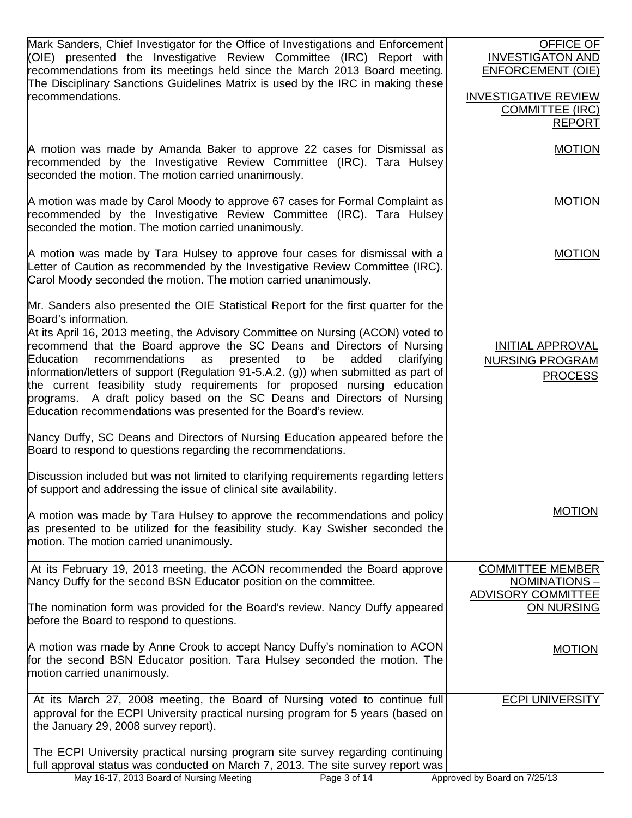| Mark Sanders, Chief Investigator for the Office of Investigations and Enforcement<br>(OIE) presented the Investigative Review Committee (IRC) Report with<br>recommendations from its meetings held since the March 2013 Board meeting.<br>The Disciplinary Sanctions Guidelines Matrix is used by the IRC in making these<br>recommendations.                                                                                                                                                                                                                     | OFFICE OF<br><b>INVESTIGATON AND</b><br><b>ENFORCEMENT (OIE)</b><br><b>INVESTIGATIVE REVIEW</b><br><b>COMMITTEE (IRC)</b><br><b>REPORT</b> |
|--------------------------------------------------------------------------------------------------------------------------------------------------------------------------------------------------------------------------------------------------------------------------------------------------------------------------------------------------------------------------------------------------------------------------------------------------------------------------------------------------------------------------------------------------------------------|--------------------------------------------------------------------------------------------------------------------------------------------|
| A motion was made by Amanda Baker to approve 22 cases for Dismissal as<br>recommended by the Investigative Review Committee (IRC). Tara Hulsey<br>seconded the motion. The motion carried unanimously.                                                                                                                                                                                                                                                                                                                                                             | <b>MOTION</b>                                                                                                                              |
| A motion was made by Carol Moody to approve 67 cases for Formal Complaint as<br>recommended by the Investigative Review Committee (IRC). Tara Hulsey<br>seconded the motion. The motion carried unanimously.                                                                                                                                                                                                                                                                                                                                                       | <b>MOTION</b>                                                                                                                              |
| A motion was made by Tara Hulsey to approve four cases for dismissal with a<br>Letter of Caution as recommended by the Investigative Review Committee (IRC).<br>Carol Moody seconded the motion. The motion carried unanimously.                                                                                                                                                                                                                                                                                                                                   | <b>MOTION</b>                                                                                                                              |
| Mr. Sanders also presented the OIE Statistical Report for the first quarter for the<br>Board's information.                                                                                                                                                                                                                                                                                                                                                                                                                                                        |                                                                                                                                            |
| At its April 16, 2013 meeting, the Advisory Committee on Nursing (ACON) voted to<br>recommend that the Board approve the SC Deans and Directors of Nursing<br>Education<br>recommendations<br>presented<br>added<br>clarifying<br>as<br>to<br>be<br>information/letters of support (Regulation 91-5.A.2. (g)) when submitted as part of<br>the current feasibility study requirements for proposed nursing education<br>programs. A draft policy based on the SC Deans and Directors of Nursing<br>Education recommendations was presented for the Board's review. | <b>INITIAL APPROVAL</b><br><b>NURSING PROGRAM</b><br><b>PROCESS</b>                                                                        |
| Nancy Duffy, SC Deans and Directors of Nursing Education appeared before the<br>Board to respond to questions regarding the recommendations.                                                                                                                                                                                                                                                                                                                                                                                                                       |                                                                                                                                            |
| Discussion included but was not limited to clarifying requirements regarding letters<br>of support and addressing the issue of clinical site availability.                                                                                                                                                                                                                                                                                                                                                                                                         |                                                                                                                                            |
| A motion was made by Tara Hulsey to approve the recommendations and policy<br>as presented to be utilized for the feasibility study. Kay Swisher seconded the<br>motion. The motion carried unanimously.                                                                                                                                                                                                                                                                                                                                                           | <b>MOTION</b>                                                                                                                              |
| At its February 19, 2013 meeting, the ACON recommended the Board approve<br>Nancy Duffy for the second BSN Educator position on the committee.                                                                                                                                                                                                                                                                                                                                                                                                                     | <b>COMMITTEE MEMBER</b><br>NOMINATIONS-<br><b>ADVISORY COMMITTEE</b>                                                                       |
| The nomination form was provided for the Board's review. Nancy Duffy appeared<br>before the Board to respond to questions.                                                                                                                                                                                                                                                                                                                                                                                                                                         | ON NURSING                                                                                                                                 |
| A motion was made by Anne Crook to accept Nancy Duffy's nomination to ACON<br>for the second BSN Educator position. Tara Hulsey seconded the motion. The<br>motion carried unanimously.                                                                                                                                                                                                                                                                                                                                                                            | <b>MOTION</b>                                                                                                                              |
| At its March 27, 2008 meeting, the Board of Nursing voted to continue full<br>approval for the ECPI University practical nursing program for 5 years (based on<br>the January 29, 2008 survey report).                                                                                                                                                                                                                                                                                                                                                             | <b>ECPI UNIVERSITY</b>                                                                                                                     |
| The ECPI University practical nursing program site survey regarding continuing<br>full approval status was conducted on March 7, 2013. The site survey report was<br>May 16-17, 2013 Board of Nursing Meeting<br>Page 3 of 14                                                                                                                                                                                                                                                                                                                                      | Approved by Board on 7/25/13                                                                                                               |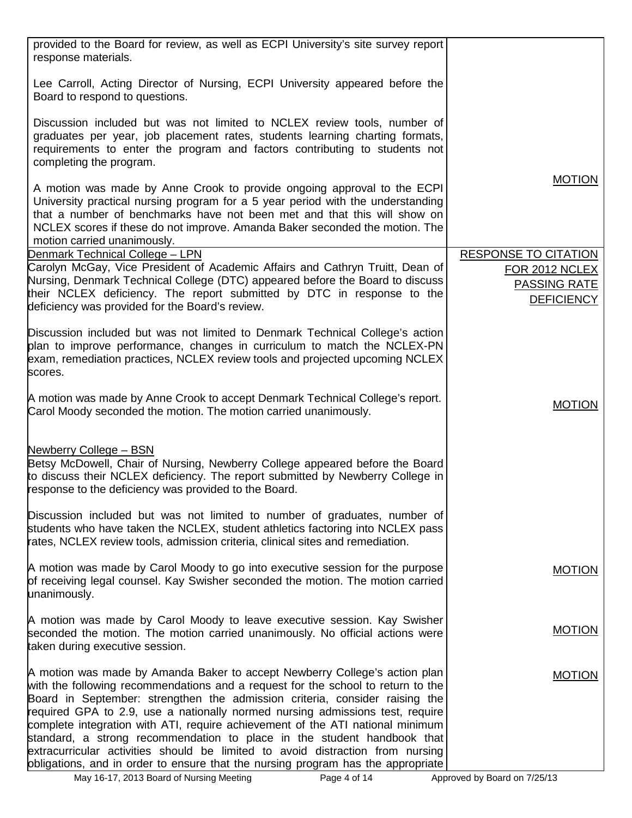| provided to the Board for review, as well as ECPI University's site survey report<br>response materials.                                                                                                                                                                                                                                                                                                                                                                                                                                                                                                                                                          |                                                                                           |
|-------------------------------------------------------------------------------------------------------------------------------------------------------------------------------------------------------------------------------------------------------------------------------------------------------------------------------------------------------------------------------------------------------------------------------------------------------------------------------------------------------------------------------------------------------------------------------------------------------------------------------------------------------------------|-------------------------------------------------------------------------------------------|
| Lee Carroll, Acting Director of Nursing, ECPI University appeared before the<br>Board to respond to questions.                                                                                                                                                                                                                                                                                                                                                                                                                                                                                                                                                    |                                                                                           |
| Discussion included but was not limited to NCLEX review tools, number of<br>graduates per year, job placement rates, students learning charting formats,<br>requirements to enter the program and factors contributing to students not<br>completing the program.                                                                                                                                                                                                                                                                                                                                                                                                 |                                                                                           |
| A motion was made by Anne Crook to provide ongoing approval to the ECPI<br>University practical nursing program for a 5 year period with the understanding<br>that a number of benchmarks have not been met and that this will show on<br>NCLEX scores if these do not improve. Amanda Baker seconded the motion. The<br>motion carried unanimously.                                                                                                                                                                                                                                                                                                              | <b>MOTION</b>                                                                             |
| Denmark Technical College - LPN<br>Carolyn McGay, Vice President of Academic Affairs and Cathryn Truitt, Dean of<br>Nursing, Denmark Technical College (DTC) appeared before the Board to discuss<br>their NCLEX deficiency. The report submitted by DTC in response to the<br>deficiency was provided for the Board's review.                                                                                                                                                                                                                                                                                                                                    | <b>RESPONSE TO CITATION</b><br><b>FOR 2012 NCLEX</b><br>PASSING RATE<br><b>DEFICIENCY</b> |
| Discussion included but was not limited to Denmark Technical College's action<br>plan to improve performance, changes in curriculum to match the NCLEX-PN<br>exam, remediation practices, NCLEX review tools and projected upcoming NCLEX<br>scores.                                                                                                                                                                                                                                                                                                                                                                                                              |                                                                                           |
| A motion was made by Anne Crook to accept Denmark Technical College's report.<br>Carol Moody seconded the motion. The motion carried unanimously.                                                                                                                                                                                                                                                                                                                                                                                                                                                                                                                 | <b>MOTION</b>                                                                             |
| Newberry College - BSN<br>Betsy McDowell, Chair of Nursing, Newberry College appeared before the Board<br>to discuss their NCLEX deficiency. The report submitted by Newberry College in<br>response to the deficiency was provided to the Board.                                                                                                                                                                                                                                                                                                                                                                                                                 |                                                                                           |
| Discussion included but was not limited to number of graduates, number of<br>students who have taken the NCLEX, student athletics factoring into NCLEX pass<br>rates, NCLEX review tools, admission criteria, clinical sites and remediation.                                                                                                                                                                                                                                                                                                                                                                                                                     |                                                                                           |
| A motion was made by Carol Moody to go into executive session for the purpose<br>of receiving legal counsel. Kay Swisher seconded the motion. The motion carried<br>unanimously.                                                                                                                                                                                                                                                                                                                                                                                                                                                                                  | <b>MOTION</b>                                                                             |
| A motion was made by Carol Moody to leave executive session. Kay Swisher<br>seconded the motion. The motion carried unanimously. No official actions were<br>taken during executive session.                                                                                                                                                                                                                                                                                                                                                                                                                                                                      | <b>MOTION</b>                                                                             |
| A motion was made by Amanda Baker to accept Newberry College's action plan<br>with the following recommendations and a request for the school to return to the<br>Board in September: strengthen the admission criteria, consider raising the<br>required GPA to 2.9, use a nationally normed nursing admissions test, require<br>complete integration with ATI, require achievement of the ATI national minimum<br>standard, a strong recommendation to place in the student handbook that<br>extracurricular activities should be limited to avoid distraction from nursing<br>obligations, and in order to ensure that the nursing program has the appropriate | <b>MOTION</b>                                                                             |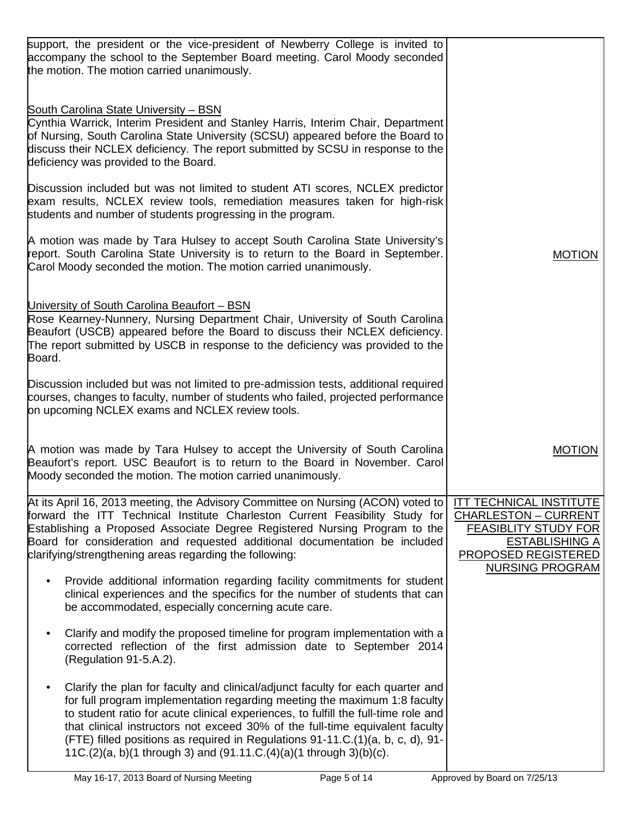| support, the president or the vice-president of Newberry College is invited to<br>accompany the school to the September Board meeting. Carol Moody seconded<br>the motion. The motion carried unanimously.                                                                                                                                                                                                                                                                                |                                                                                                                                                                 |
|-------------------------------------------------------------------------------------------------------------------------------------------------------------------------------------------------------------------------------------------------------------------------------------------------------------------------------------------------------------------------------------------------------------------------------------------------------------------------------------------|-----------------------------------------------------------------------------------------------------------------------------------------------------------------|
| <b>South Carolina State University - BSN</b><br>Cynthia Warrick, Interim President and Stanley Harris, Interim Chair, Department<br>of Nursing, South Carolina State University (SCSU) appeared before the Board to<br>discuss their NCLEX deficiency. The report submitted by SCSU in response to the<br>deficiency was provided to the Board.                                                                                                                                           |                                                                                                                                                                 |
| Discussion included but was not limited to student ATI scores, NCLEX predictor<br>exam results, NCLEX review tools, remediation measures taken for high-risk<br>students and number of students progressing in the program.                                                                                                                                                                                                                                                               |                                                                                                                                                                 |
| A motion was made by Tara Hulsey to accept South Carolina State University's<br>report. South Carolina State University is to return to the Board in September.<br>Carol Moody seconded the motion. The motion carried unanimously.                                                                                                                                                                                                                                                       | <b>MOTION</b>                                                                                                                                                   |
| University of South Carolina Beaufort - BSN<br>Rose Kearney-Nunnery, Nursing Department Chair, University of South Carolina<br>Beaufort (USCB) appeared before the Board to discuss their NCLEX deficiency.<br>The report submitted by USCB in response to the deficiency was provided to the<br>Board.                                                                                                                                                                                   |                                                                                                                                                                 |
| Discussion included but was not limited to pre-admission tests, additional required<br>courses, changes to faculty, number of students who failed, projected performance<br>on upcoming NCLEX exams and NCLEX review tools.                                                                                                                                                                                                                                                               |                                                                                                                                                                 |
| A motion was made by Tara Hulsey to accept the University of South Carolina<br>Beaufort's report. USC Beaufort is to return to the Board in November. Carol<br>Moody seconded the motion. The motion carried unanimously.                                                                                                                                                                                                                                                                 | <b>MOTION</b>                                                                                                                                                   |
| At its April 16, 2013 meeting, the Advisory Committee on Nursing (ACON) voted to<br>forward the ITT Technical Institute Charleston Current Feasibility Study for<br>Establishing a Proposed Associate Degree Registered Nursing Program to the<br>Board for consideration and requested additional documentation be included<br>clarifying/strengthening areas regarding the following:                                                                                                   | ITT TECHNICAL INSTITUTE<br><b>CHARLESTON - CURRENT</b><br>FEASIBLITY STUDY FOR<br><b>ESTABLISHING A</b><br><b>PROPOSED REGISTERED</b><br><b>NURSING PROGRAM</b> |
| Provide additional information regarding facility commitments for student<br>$\bullet$<br>clinical experiences and the specifics for the number of students that can<br>be accommodated, especially concerning acute care.                                                                                                                                                                                                                                                                |                                                                                                                                                                 |
| Clarify and modify the proposed timeline for program implementation with a<br>corrected reflection of the first admission date to September 2014<br>(Regulation 91-5.A.2).                                                                                                                                                                                                                                                                                                                |                                                                                                                                                                 |
| Clarify the plan for faculty and clinical/adjunct faculty for each quarter and<br>for full program implementation regarding meeting the maximum 1:8 faculty<br>to student ratio for acute clinical experiences, to fulfill the full-time role and<br>that clinical instructors not exceed 30% of the full-time equivalent faculty<br>(FTE) filled positions as required in Regulations 91-11.C.(1)(a, b, c, d), 91-<br>11C.(2)(a, b)(1 through 3) and (91.11.C.(4)(a)(1 through 3)(b)(c). |                                                                                                                                                                 |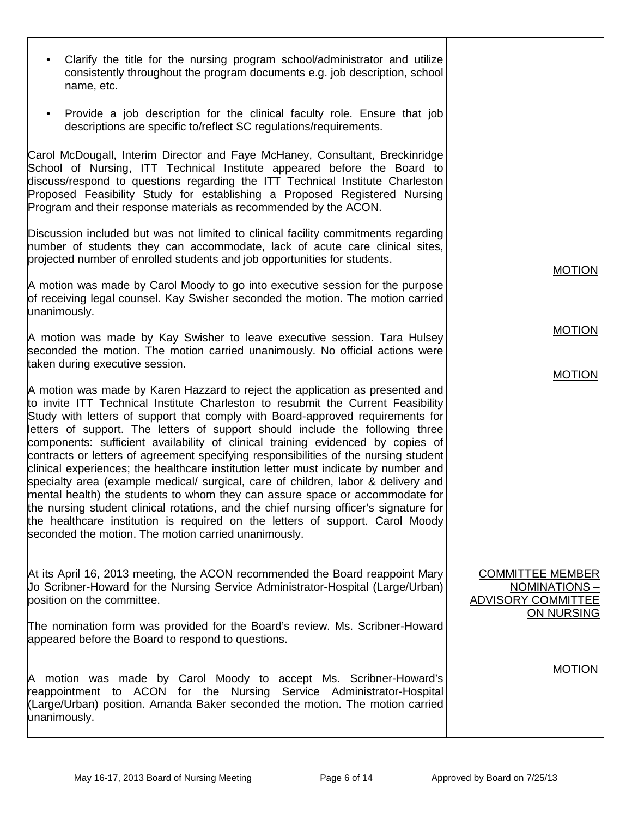| Clarify the title for the nursing program school/administrator and utilize<br>$\bullet$<br>consistently throughout the program documents e.g. job description, school<br>name, etc.                                                                                                                                                                                                                                                                                                                                                                                                                                                                                                                                                                                                                                                                                                                                                                                                                           |                                                                                    |
|---------------------------------------------------------------------------------------------------------------------------------------------------------------------------------------------------------------------------------------------------------------------------------------------------------------------------------------------------------------------------------------------------------------------------------------------------------------------------------------------------------------------------------------------------------------------------------------------------------------------------------------------------------------------------------------------------------------------------------------------------------------------------------------------------------------------------------------------------------------------------------------------------------------------------------------------------------------------------------------------------------------|------------------------------------------------------------------------------------|
| Provide a job description for the clinical faculty role. Ensure that job<br>$\bullet$<br>descriptions are specific to/reflect SC regulations/requirements.                                                                                                                                                                                                                                                                                                                                                                                                                                                                                                                                                                                                                                                                                                                                                                                                                                                    |                                                                                    |
| Carol McDougall, Interim Director and Faye McHaney, Consultant, Breckinridge<br>School of Nursing, ITT Technical Institute appeared before the Board to<br>discuss/respond to questions regarding the ITT Technical Institute Charleston<br>Proposed Feasibility Study for establishing a Proposed Registered Nursing<br>Program and their response materials as recommended by the ACON.                                                                                                                                                                                                                                                                                                                                                                                                                                                                                                                                                                                                                     |                                                                                    |
| Discussion included but was not limited to clinical facility commitments regarding<br>humber of students they can accommodate, lack of acute care clinical sites,<br>projected number of enrolled students and job opportunities for students.                                                                                                                                                                                                                                                                                                                                                                                                                                                                                                                                                                                                                                                                                                                                                                | <b>MOTION</b>                                                                      |
| A motion was made by Carol Moody to go into executive session for the purpose<br>of receiving legal counsel. Kay Swisher seconded the motion. The motion carried<br>unanimously.                                                                                                                                                                                                                                                                                                                                                                                                                                                                                                                                                                                                                                                                                                                                                                                                                              |                                                                                    |
| A motion was made by Kay Swisher to leave executive session. Tara Hulsey<br>seconded the motion. The motion carried unanimously. No official actions were<br>taken during executive session.                                                                                                                                                                                                                                                                                                                                                                                                                                                                                                                                                                                                                                                                                                                                                                                                                  | <b>MOTION</b>                                                                      |
| A motion was made by Karen Hazzard to reject the application as presented and<br>to invite ITT Technical Institute Charleston to resubmit the Current Feasibility<br>Study with letters of support that comply with Board-approved requirements for<br>letters of support. The letters of support should include the following three<br>components: sufficient availability of clinical training evidenced by copies of<br>contracts or letters of agreement specifying responsibilities of the nursing student<br>clinical experiences; the healthcare institution letter must indicate by number and<br>specialty area (example medical/ surgical, care of children, labor & delivery and<br>mental health) the students to whom they can assure space or accommodate for<br>the nursing student clinical rotations, and the chief nursing officer's signature for<br>the healthcare institution is required on the letters of support. Carol Moody<br>seconded the motion. The motion carried unanimously. | <b>MOTION</b>                                                                      |
| At its April 16, 2013 meeting, the ACON recommended the Board reappoint Mary<br>Uo Scribner-Howard for the Nursing Service Administrator-Hospital (Large/Urban)<br>position on the committee.<br>The nomination form was provided for the Board's review. Ms. Scribner-Howard<br>appeared before the Board to respond to questions.                                                                                                                                                                                                                                                                                                                                                                                                                                                                                                                                                                                                                                                                           | <b>COMMITTEE MEMBER</b><br>NOMINATIONS-<br><b>ADVISORY COMMITTEE</b><br>ON NURSING |
| A motion was made by Carol Moody to accept Ms. Scribner-Howard's<br>reappointment to ACON for the Nursing Service Administrator-Hospital<br>(Large/Urban) position. Amanda Baker seconded the motion. The motion carried<br>unanimously.                                                                                                                                                                                                                                                                                                                                                                                                                                                                                                                                                                                                                                                                                                                                                                      | <b>MOTION</b>                                                                      |
|                                                                                                                                                                                                                                                                                                                                                                                                                                                                                                                                                                                                                                                                                                                                                                                                                                                                                                                                                                                                               |                                                                                    |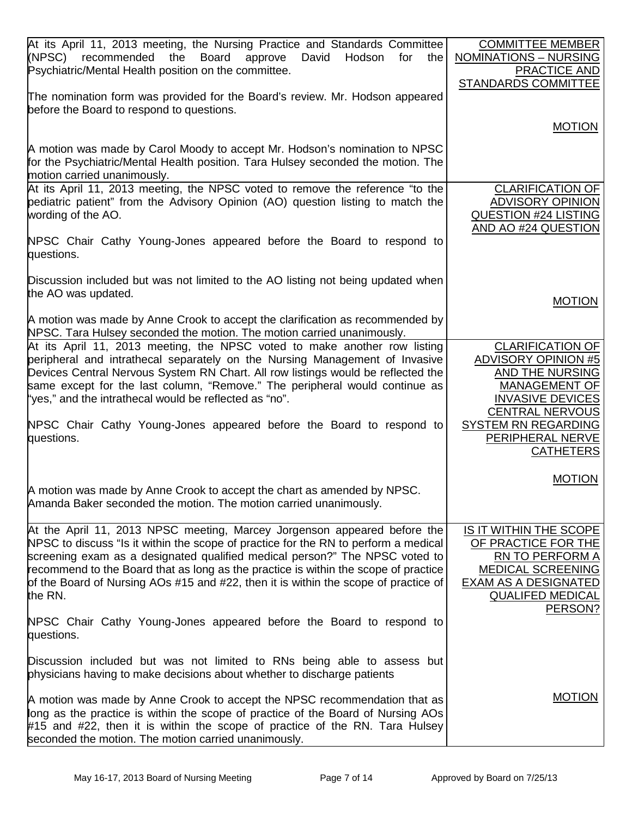| At its April 11, 2013 meeting, the Nursing Practice and Standards Committee<br>(NPSC) recommended<br>the<br>Board<br>approve<br>David<br>Hodson<br>for<br>the<br>Psychiatric/Mental Health position on the committee.                                                                                                                                                                                                                   | <b>COMMITTEE MEMBER</b><br><b>NOMINATIONS - NURSING</b><br><b>PRACTICE AND</b><br><b>STANDARDS COMMITTEE</b>                                               |
|-----------------------------------------------------------------------------------------------------------------------------------------------------------------------------------------------------------------------------------------------------------------------------------------------------------------------------------------------------------------------------------------------------------------------------------------|------------------------------------------------------------------------------------------------------------------------------------------------------------|
| The nomination form was provided for the Board's review. Mr. Hodson appeared<br>before the Board to respond to questions.                                                                                                                                                                                                                                                                                                               | <b>MOTION</b>                                                                                                                                              |
| A motion was made by Carol Moody to accept Mr. Hodson's nomination to NPSC<br>for the Psychiatric/Mental Health position. Tara Hulsey seconded the motion. The<br>motion carried unanimously.                                                                                                                                                                                                                                           |                                                                                                                                                            |
| At its April 11, 2013 meeting, the NPSC voted to remove the reference "to the<br>pediatric patient" from the Advisory Opinion (AO) question listing to match the<br>wording of the AO.                                                                                                                                                                                                                                                  | <b>CLARIFICATION OF</b><br><b>ADVISORY OPINION</b><br><b>QUESTION #24 LISTING</b><br>AND AO #24 QUESTION                                                   |
| NPSC Chair Cathy Young-Jones appeared before the Board to respond to<br>questions.                                                                                                                                                                                                                                                                                                                                                      |                                                                                                                                                            |
| Discussion included but was not limited to the AO listing not being updated when<br>the AO was updated.                                                                                                                                                                                                                                                                                                                                 | <b>MOTION</b>                                                                                                                                              |
| A motion was made by Anne Crook to accept the clarification as recommended by<br>NPSC. Tara Hulsey seconded the motion. The motion carried unanimously.                                                                                                                                                                                                                                                                                 |                                                                                                                                                            |
| At its April 11, 2013 meeting, the NPSC voted to make another row listing<br>peripheral and intrathecal separately on the Nursing Management of Invasive<br>Devices Central Nervous System RN Chart. All row listings would be reflected the<br>same except for the last column, "Remove." The peripheral would continue as<br>"yes," and the intrathecal would be reflected as "no".                                                   | <b>CLARIFICATION OF</b><br><b>ADVISORY OPINION #5</b><br>AND THE NURSING<br>MANAGEMENT OF<br><b>INVASIVE DEVICES</b><br><b>CENTRAL NERVOUS</b>             |
| NPSC Chair Cathy Young-Jones appeared before the Board to respond to<br>questions.                                                                                                                                                                                                                                                                                                                                                      | <b>SYSTEM RN REGARDING</b><br>PERIPHERAL NERVE<br><b>CATHETERS</b>                                                                                         |
| A motion was made by Anne Crook to accept the chart as amended by NPSC.<br>Amanda Baker seconded the motion. The motion carried unanimously.                                                                                                                                                                                                                                                                                            | <b>MOTION</b>                                                                                                                                              |
| At the April 11, 2013 NPSC meeting, Marcey Jorgenson appeared before the<br>NPSC to discuss "Is it within the scope of practice for the RN to perform a medical<br>screening exam as a designated qualified medical person?" The NPSC voted to<br>recommend to the Board that as long as the practice is within the scope of practice<br>of the Board of Nursing AOs #15 and #22, then it is within the scope of practice of<br>the RN. | IS IT WITHIN THE SCOPE<br>OF PRACTICE FOR THE<br>RN TO PERFORM A<br>MEDICAL SCREENING<br><b>EXAM AS A DESIGNATED</b><br><b>QUALIFED MEDICAL</b><br>PERSON? |
| NPSC Chair Cathy Young-Jones appeared before the Board to respond to<br>questions.                                                                                                                                                                                                                                                                                                                                                      |                                                                                                                                                            |
| Discussion included but was not limited to RNs being able to assess but<br>physicians having to make decisions about whether to discharge patients                                                                                                                                                                                                                                                                                      |                                                                                                                                                            |
| A motion was made by Anne Crook to accept the NPSC recommendation that as<br>long as the practice is within the scope of practice of the Board of Nursing AOs<br>#15 and #22, then it is within the scope of practice of the RN. Tara Hulsey<br>seconded the motion. The motion carried unanimously.                                                                                                                                    | <b>MOTION</b>                                                                                                                                              |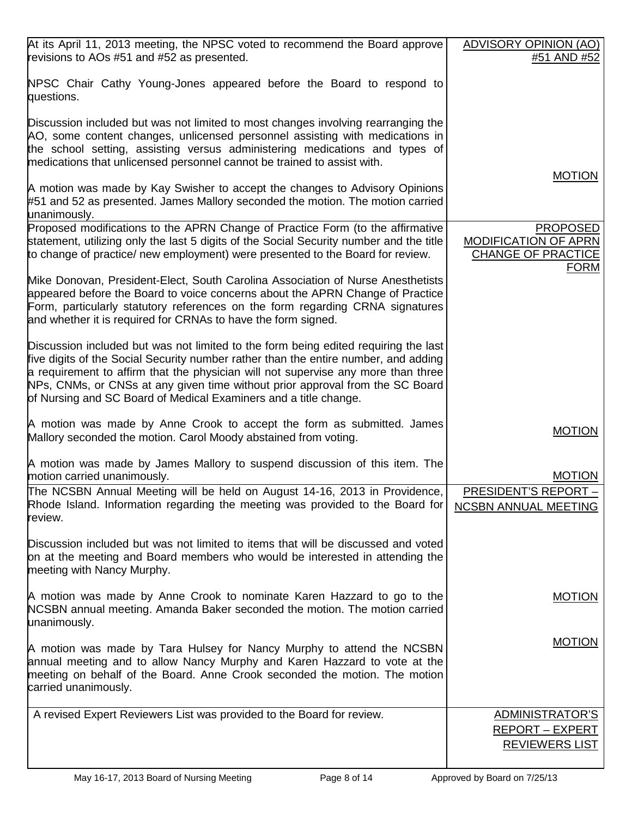| At its April 11, 2013 meeting, the NPSC voted to recommend the Board approve                                                                                                                                                                                                                                                                                                                                         | ADVISORY OPINION (AO)                                                               |
|----------------------------------------------------------------------------------------------------------------------------------------------------------------------------------------------------------------------------------------------------------------------------------------------------------------------------------------------------------------------------------------------------------------------|-------------------------------------------------------------------------------------|
| revisions to AOs #51 and #52 as presented.                                                                                                                                                                                                                                                                                                                                                                           | #51 AND #52                                                                         |
| NPSC Chair Cathy Young-Jones appeared before the Board to respond to<br>questions.                                                                                                                                                                                                                                                                                                                                   |                                                                                     |
| Discussion included but was not limited to most changes involving rearranging the<br>AO, some content changes, unlicensed personnel assisting with medications in<br>the school setting, assisting versus administering medications and types of<br>medications that unlicensed personnel cannot be trained to assist with.                                                                                          |                                                                                     |
| A motion was made by Kay Swisher to accept the changes to Advisory Opinions<br>#51 and 52 as presented. James Mallory seconded the motion. The motion carried<br>unanimously.                                                                                                                                                                                                                                        | <b>MOTION</b>                                                                       |
| Proposed modifications to the APRN Change of Practice Form (to the affirmative<br>statement, utilizing only the last 5 digits of the Social Security number and the title<br>to change of practice/ new employment) were presented to the Board for review.                                                                                                                                                          | <b>PROPOSED</b><br>MODIFICATION OF APRN<br><b>CHANGE OF PRACTICE</b><br><u>FORM</u> |
| Mike Donovan, President-Elect, South Carolina Association of Nurse Anesthetists<br>appeared before the Board to voice concerns about the APRN Change of Practice<br>Form, particularly statutory references on the form regarding CRNA signatures<br>and whether it is required for CRNAs to have the form signed.                                                                                                   |                                                                                     |
| Discussion included but was not limited to the form being edited requiring the last<br>five digits of the Social Security number rather than the entire number, and adding<br>a requirement to affirm that the physician will not supervise any more than three<br>NPs, CNMs, or CNSs at any given time without prior approval from the SC Board<br>of Nursing and SC Board of Medical Examiners and a title change. |                                                                                     |
| A motion was made by Anne Crook to accept the form as submitted. James<br>Mallory seconded the motion. Carol Moody abstained from voting.                                                                                                                                                                                                                                                                            | <b>MOTION</b>                                                                       |
| A motion was made by James Mallory to suspend discussion of this item. The<br>motion carried unanimously.                                                                                                                                                                                                                                                                                                            | <b>MOTION</b>                                                                       |
| The NCSBN Annual Meeting will be held on August 14-16, 2013 in Providence,                                                                                                                                                                                                                                                                                                                                           | <b>PRESIDENT'S REPORT -</b>                                                         |
| Rhode Island. Information regarding the meeting was provided to the Board for<br>review.                                                                                                                                                                                                                                                                                                                             | <b>NCSBN ANNUAL MEETING</b>                                                         |
| Discussion included but was not limited to items that will be discussed and voted<br>on at the meeting and Board members who would be interested in attending the<br>meeting with Nancy Murphy.                                                                                                                                                                                                                      |                                                                                     |
| A motion was made by Anne Crook to nominate Karen Hazzard to go to the<br>NCSBN annual meeting. Amanda Baker seconded the motion. The motion carried<br>unanimously.                                                                                                                                                                                                                                                 | <b>MOTION</b>                                                                       |
| A motion was made by Tara Hulsey for Nancy Murphy to attend the NCSBN<br>annual meeting and to allow Nancy Murphy and Karen Hazzard to vote at the<br>meeting on behalf of the Board. Anne Crook seconded the motion. The motion<br>carried unanimously.                                                                                                                                                             | <b>MOTION</b>                                                                       |
| A revised Expert Reviewers List was provided to the Board for review.                                                                                                                                                                                                                                                                                                                                                | ADMINISTRATOR'S                                                                     |
|                                                                                                                                                                                                                                                                                                                                                                                                                      | <b>REPORT - EXPERT</b><br><b>REVIEWERS LIST</b>                                     |
|                                                                                                                                                                                                                                                                                                                                                                                                                      |                                                                                     |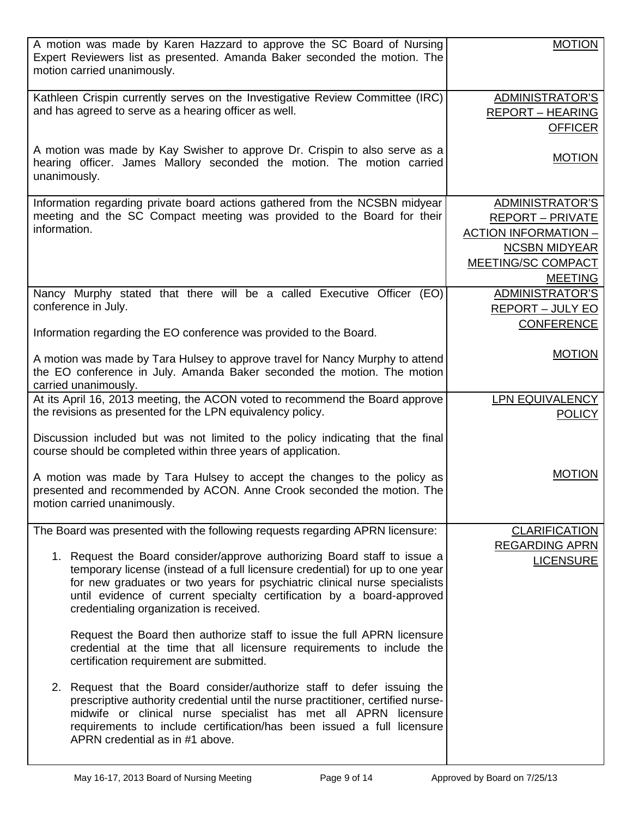| A motion was made by Karen Hazzard to approve the SC Board of Nursing<br>Expert Reviewers list as presented. Amanda Baker seconded the motion. The<br>motion carried unanimously.                                                                                                                                                           | <b>MOTION</b>                           |
|---------------------------------------------------------------------------------------------------------------------------------------------------------------------------------------------------------------------------------------------------------------------------------------------------------------------------------------------|-----------------------------------------|
| Kathleen Crispin currently serves on the Investigative Review Committee (IRC)                                                                                                                                                                                                                                                               | ADMINISTRATOR'S                         |
| and has agreed to serve as a hearing officer as well.                                                                                                                                                                                                                                                                                       | <b>REPORT - HEARING</b>                 |
|                                                                                                                                                                                                                                                                                                                                             | <b>OFFICER</b>                          |
| A motion was made by Kay Swisher to approve Dr. Crispin to also serve as a<br>hearing officer. James Mallory seconded the motion. The motion carried<br>unanimously.                                                                                                                                                                        | <b>MOTION</b>                           |
|                                                                                                                                                                                                                                                                                                                                             |                                         |
| Information regarding private board actions gathered from the NCSBN midyear                                                                                                                                                                                                                                                                 | ADMINISTRATOR'S                         |
| meeting and the SC Compact meeting was provided to the Board for their<br>information.                                                                                                                                                                                                                                                      | <b>REPORT - PRIVATE</b>                 |
|                                                                                                                                                                                                                                                                                                                                             | <b>ACTION INFORMATION -</b>             |
|                                                                                                                                                                                                                                                                                                                                             | <b>NCSBN MIDYEAR</b>                    |
|                                                                                                                                                                                                                                                                                                                                             | MEETING/SC COMPACT                      |
|                                                                                                                                                                                                                                                                                                                                             | <b>MEETING</b>                          |
| Nancy Murphy stated that there will be a called Executive Officer (EO)                                                                                                                                                                                                                                                                      | <b>ADMINISTRATOR'S</b>                  |
| conference in July.                                                                                                                                                                                                                                                                                                                         | <b>REPORT - JULY EO</b>                 |
|                                                                                                                                                                                                                                                                                                                                             | <b>CONFERENCE</b>                       |
| Information regarding the EO conference was provided to the Board.                                                                                                                                                                                                                                                                          |                                         |
| A motion was made by Tara Hulsey to approve travel for Nancy Murphy to attend<br>the EO conference in July. Amanda Baker seconded the motion. The motion                                                                                                                                                                                    | <b>MOTION</b>                           |
| carried unanimously.                                                                                                                                                                                                                                                                                                                        |                                         |
| At its April 16, 2013 meeting, the ACON voted to recommend the Board approve<br>the revisions as presented for the LPN equivalency policy.                                                                                                                                                                                                  | <b>LPN EQUIVALENCY</b><br><b>POLICY</b> |
| Discussion included but was not limited to the policy indicating that the final<br>course should be completed within three years of application.                                                                                                                                                                                            |                                         |
| A motion was made by Tara Hulsey to accept the changes to the policy as<br>presented and recommended by ACON. Anne Crook seconded the motion. The<br>motion carried unanimously.                                                                                                                                                            | <b>MOTION</b>                           |
| The Board was presented with the following requests regarding APRN licensure:                                                                                                                                                                                                                                                               | <b>CLARIFICATION</b>                    |
| 1. Request the Board consider/approve authorizing Board staff to issue a                                                                                                                                                                                                                                                                    | <b>REGARDING APRN</b>                   |
| temporary license (instead of a full licensure credential) for up to one year<br>for new graduates or two years for psychiatric clinical nurse specialists<br>until evidence of current specialty certification by a board-approved<br>credentialing organization is received.                                                              | <b>LICENSURE</b>                        |
| Request the Board then authorize staff to issue the full APRN licensure<br>credential at the time that all licensure requirements to include the<br>certification requirement are submitted.                                                                                                                                                |                                         |
| 2. Request that the Board consider/authorize staff to defer issuing the<br>prescriptive authority credential until the nurse practitioner, certified nurse-<br>midwife or clinical nurse specialist has met all APRN licensure<br>requirements to include certification/has been issued a full licensure<br>APRN credential as in #1 above. |                                         |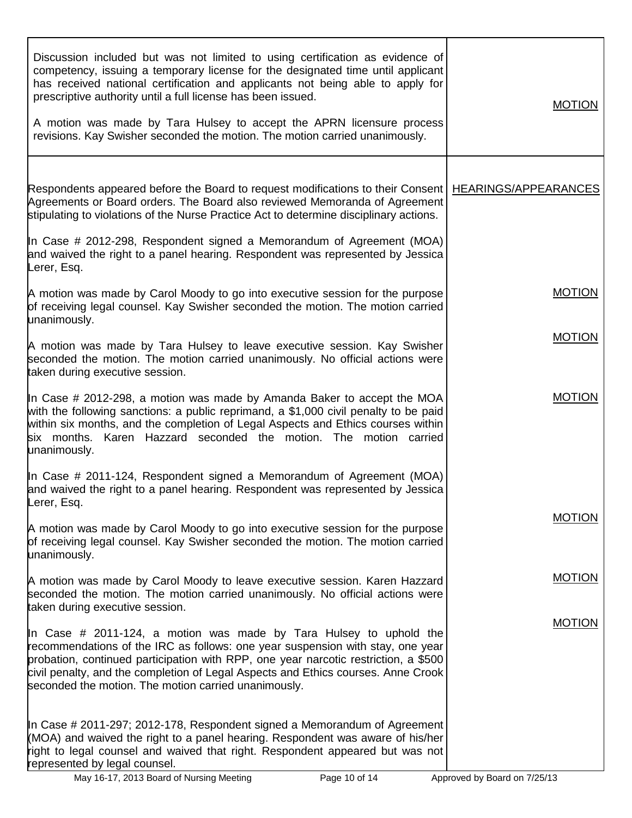| Discussion included but was not limited to using certification as evidence of<br>competency, issuing a temporary license for the designated time until applicant<br>has received national certification and applicants not being able to apply for<br>prescriptive authority until a full license has been issued.<br>A motion was made by Tara Hulsey to accept the APRN licensure process<br>revisions. Kay Swisher seconded the motion. The motion carried unanimously. | <b>MOTION</b>                |
|----------------------------------------------------------------------------------------------------------------------------------------------------------------------------------------------------------------------------------------------------------------------------------------------------------------------------------------------------------------------------------------------------------------------------------------------------------------------------|------------------------------|
| Respondents appeared before the Board to request modifications to their Consent<br>Agreements or Board orders. The Board also reviewed Memoranda of Agreement<br>stipulating to violations of the Nurse Practice Act to determine disciplinary actions.                                                                                                                                                                                                                    | HEARINGS/APPEARANCES         |
| In Case # 2012-298, Respondent signed a Memorandum of Agreement (MOA)<br>and waived the right to a panel hearing. Respondent was represented by Jessica<br>Lerer, Esq.                                                                                                                                                                                                                                                                                                     |                              |
| A motion was made by Carol Moody to go into executive session for the purpose<br>of receiving legal counsel. Kay Swisher seconded the motion. The motion carried<br>unanimously.                                                                                                                                                                                                                                                                                           | <b>MOTION</b>                |
| A motion was made by Tara Hulsey to leave executive session. Kay Swisher<br>seconded the motion. The motion carried unanimously. No official actions were<br>taken during executive session.                                                                                                                                                                                                                                                                               | <b>MOTION</b>                |
| In Case # 2012-298, a motion was made by Amanda Baker to accept the MOA<br>with the following sanctions: a public reprimand, a \$1,000 civil penalty to be paid<br>within six months, and the completion of Legal Aspects and Ethics courses within<br>six months. Karen Hazzard seconded the motion. The motion carried<br>unanimously.                                                                                                                                   | <b>MOTION</b>                |
| In Case # 2011-124, Respondent signed a Memorandum of Agreement (MOA)<br>and waived the right to a panel hearing. Respondent was represented by Jessica<br>Lerer, Esq.                                                                                                                                                                                                                                                                                                     |                              |
| A motion was made by Carol Moody to go into executive session for the purpose<br>of receiving legal counsel. Kay Swisher seconded the motion. The motion carried<br>unanimously.                                                                                                                                                                                                                                                                                           | <b>MOTION</b>                |
| A motion was made by Carol Moody to leave executive session. Karen Hazzard<br>seconded the motion. The motion carried unanimously. No official actions were<br>taken during executive session.                                                                                                                                                                                                                                                                             | <b>MOTION</b>                |
| In Case # 2011-124, a motion was made by Tara Hulsey to uphold the<br>recommendations of the IRC as follows: one year suspension with stay, one year<br>probation, continued participation with RPP, one year narcotic restriction, a \$500<br>civil penalty, and the completion of Legal Aspects and Ethics courses. Anne Crook<br>seconded the motion. The motion carried unanimously.                                                                                   | <b>MOTION</b>                |
| In Case # 2011-297; 2012-178, Respondent signed a Memorandum of Agreement<br>(MOA) and waived the right to a panel hearing. Respondent was aware of his/her<br>right to legal counsel and waived that right. Respondent appeared but was not<br>represented by legal counsel.                                                                                                                                                                                              |                              |
| Page 10 of 14<br>May 16-17, 2013 Board of Nursing Meeting                                                                                                                                                                                                                                                                                                                                                                                                                  | Approved by Board on 7/25/13 |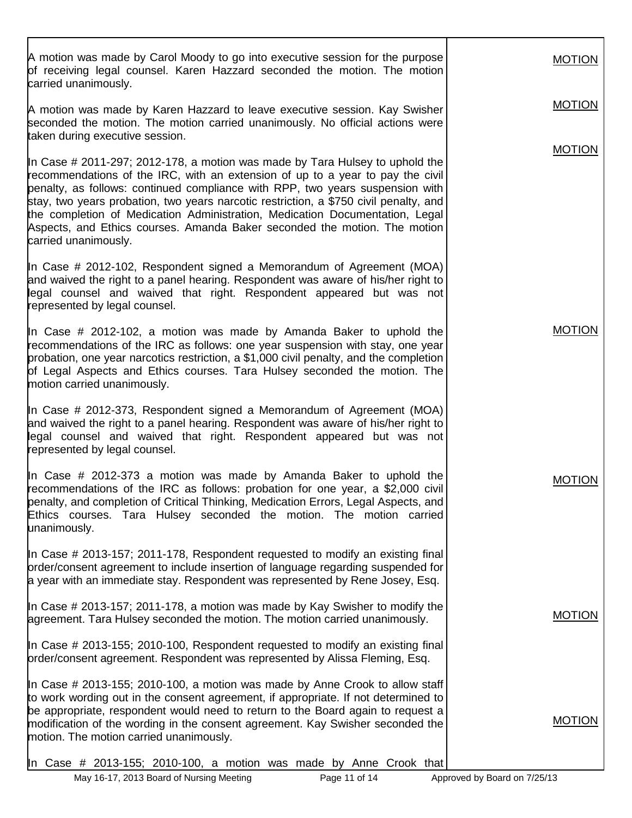A motion was made by Carol Moody to go into executive session for the purpose of receiving legal counsel. Karen Hazzard seconded the motion. The motion carried unanimously. A motion was made by Karen Hazzard to leave executive session. Kay Swisher seconded the motion. The motion carried unanimously. No official actions were taken during executive session. In Case # 2011-297; 2012-178, a motion was made by Tara Hulsey to uphold the recommendations of the IRC, with an extension of up to a year to pay the civil penalty, as follows: continued compliance with RPP, two years suspension with stay, two years probation, two years narcotic restriction, a \$750 civil penalty, and the completion of Medication Administration, Medication Documentation, Legal Aspects, and Ethics courses. Amanda Baker seconded the motion. The motion carried unanimously. In Case # 2012-102, Respondent signed a Memorandum of Agreement (MOA) and waived the right to a panel hearing. Respondent was aware of his/her right to legal counsel and waived that right. Respondent appeared but was not represented by legal counsel. In Case  $#$  2012-102, a motion was made by Amanda Baker to uphold the recommendations of the IRC as follows: one year suspension with stay, one year probation, one year narcotics restriction, a \$1,000 civil penalty, and the completion of Legal Aspects and Ethics courses. Tara Hulsey seconded the motion. The motion carried unanimously. In Case # 2012-373, Respondent signed a Memorandum of Agreement (MOA) and waived the right to a panel hearing. Respondent was aware of his/her right to legal counsel and waived that right. Respondent appeared but was not represented by legal counsel. In Case # 2012-373 a motion was made by Amanda Baker to uphold the recommendations of the IRC as follows: probation for one year, a \$2,000 civil penalty, and completion of Critical Thinking, Medication Errors, Legal Aspects, and Ethics courses. Tara Hulsey seconded the motion. The motion carried unanimously. In Case # 2013-157; 2011-178, Respondent requested to modify an existing final order/consent agreement to include insertion of language regarding suspended for a year with an immediate stay. Respondent was represented by Rene Josey, Esq. In Case # 2013-157; 2011-178, a motion was made by Kay Swisher to modify the agreement. Tara Hulsey seconded the motion. The motion carried unanimously. In Case # 2013-155; 2010-100, Respondent requested to modify an existing final order/consent agreement. Respondent was represented by Alissa Fleming, Esq. In Case # 2013-155; 2010-100, a motion was made by Anne Crook to allow staff to work wording out in the consent agreement, if appropriate. If not determined to be appropriate, respondent would need to return to the Board again to request a modification of the wording in the consent agreement. Kay Swisher seconded the motion. The motion carried unanimously. In Case # 2013-155; 2010-100, a motion was made by Anne Crook that MOTION MOTION MOTION MOTION MOTION MOTION MOTION

May 16-17, 2013 Board of Nursing Meeting Page 11 of 14 Approved by Board on 7/25/13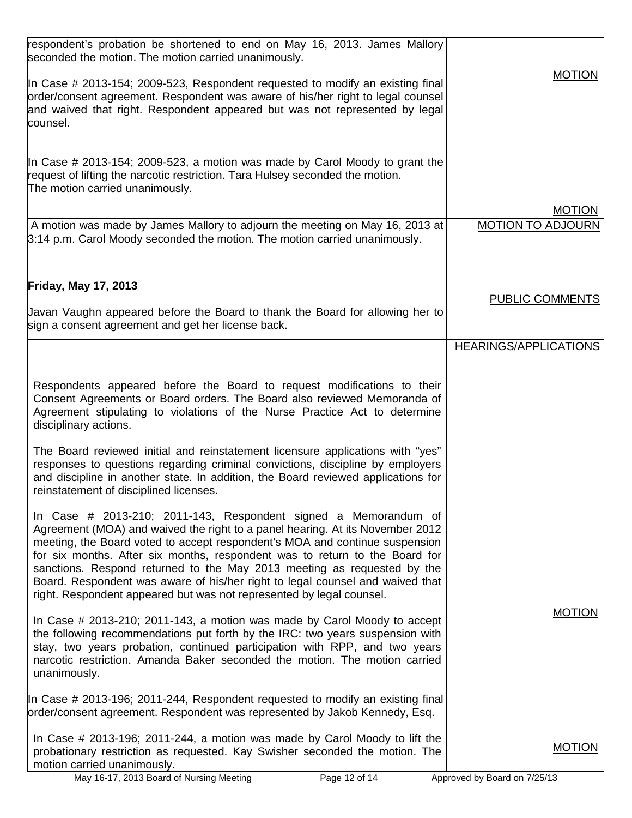| respondent's probation be shortened to end on May 16, 2013. James Mallory<br>seconded the motion. The motion carried unanimously.                                                                                                                                                                                                                                                                                                                                                                                                                     |                                           |
|-------------------------------------------------------------------------------------------------------------------------------------------------------------------------------------------------------------------------------------------------------------------------------------------------------------------------------------------------------------------------------------------------------------------------------------------------------------------------------------------------------------------------------------------------------|-------------------------------------------|
| In Case # 2013-154; 2009-523, Respondent requested to modify an existing final<br>order/consent agreement. Respondent was aware of his/her right to legal counsel<br>and waived that right. Respondent appeared but was not represented by legal<br>counsel.                                                                                                                                                                                                                                                                                          | <b>MOTION</b>                             |
| In Case # 2013-154; 2009-523, a motion was made by Carol Moody to grant the<br>request of lifting the narcotic restriction. Tara Hulsey seconded the motion.<br>The motion carried unanimously.                                                                                                                                                                                                                                                                                                                                                       |                                           |
| A motion was made by James Mallory to adjourn the meeting on May 16, 2013 at                                                                                                                                                                                                                                                                                                                                                                                                                                                                          | <b>MOTION</b><br><b>MOTION TO ADJOURN</b> |
| 3:14 p.m. Carol Moody seconded the motion. The motion carried unanimously.                                                                                                                                                                                                                                                                                                                                                                                                                                                                            |                                           |
| <b>Friday, May 17, 2013</b>                                                                                                                                                                                                                                                                                                                                                                                                                                                                                                                           | <b>PUBLIC COMMENTS</b>                    |
| Javan Vaughn appeared before the Board to thank the Board for allowing her to<br>sign a consent agreement and get her license back.                                                                                                                                                                                                                                                                                                                                                                                                                   |                                           |
|                                                                                                                                                                                                                                                                                                                                                                                                                                                                                                                                                       | <b>HEARINGS/APPLICATIONS</b>              |
| Respondents appeared before the Board to request modifications to their<br>Consent Agreements or Board orders. The Board also reviewed Memoranda of<br>Agreement stipulating to violations of the Nurse Practice Act to determine<br>disciplinary actions.                                                                                                                                                                                                                                                                                            |                                           |
| The Board reviewed initial and reinstatement licensure applications with "yes"<br>responses to questions regarding criminal convictions, discipline by employers<br>and discipline in another state. In addition, the Board reviewed applications for<br>reinstatement of disciplined licenses.                                                                                                                                                                                                                                                       |                                           |
| In Case $\#$ 2013-210; 2011-143, Respondent signed a Memorandum of<br>Agreement (MOA) and waived the right to a panel hearing. At its November 2012<br>meeting, the Board voted to accept respondent's MOA and continue suspension<br>for six months. After six months, respondent was to return to the Board for<br>sanctions. Respond returned to the May 2013 meeting as requested by the<br>Board. Respondent was aware of his/her right to legal counsel and waived that<br>right. Respondent appeared but was not represented by legal counsel. |                                           |
| In Case $\#$ 2013-210; 2011-143, a motion was made by Carol Moody to accept<br>the following recommendations put forth by the IRC: two years suspension with<br>stay, two years probation, continued participation with RPP, and two years<br>narcotic restriction. Amanda Baker seconded the motion. The motion carried<br>unanimously.                                                                                                                                                                                                              | <b>MOTION</b>                             |
| In Case # 2013-196; 2011-244, Respondent requested to modify an existing final<br>order/consent agreement. Respondent was represented by Jakob Kennedy, Esq.                                                                                                                                                                                                                                                                                                                                                                                          |                                           |
| In Case # 2013-196; 2011-244, a motion was made by Carol Moody to lift the<br>probationary restriction as requested. Kay Swisher seconded the motion. The<br>motion carried unanimously.                                                                                                                                                                                                                                                                                                                                                              | <b>MOTION</b>                             |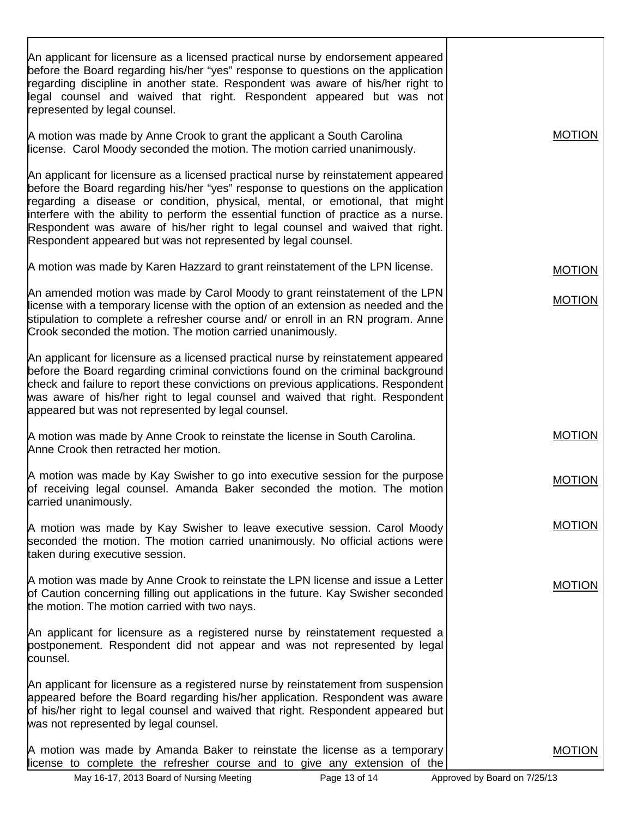| An applicant for licensure as a licensed practical nurse by endorsement appeared<br>before the Board regarding his/her "yes" response to questions on the application<br>regarding discipline in another state. Respondent was aware of his/her right to<br>legal counsel and waived that right. Respondent appeared but was not<br>represented by legal counsel.                                                                                                                                 |               |
|---------------------------------------------------------------------------------------------------------------------------------------------------------------------------------------------------------------------------------------------------------------------------------------------------------------------------------------------------------------------------------------------------------------------------------------------------------------------------------------------------|---------------|
| A motion was made by Anne Crook to grant the applicant a South Carolina<br>license. Carol Moody seconded the motion. The motion carried unanimously.                                                                                                                                                                                                                                                                                                                                              | <b>MOTION</b> |
| An applicant for licensure as a licensed practical nurse by reinstatement appeared<br>before the Board regarding his/her "yes" response to questions on the application<br>regarding a disease or condition, physical, mental, or emotional, that might<br>interfere with the ability to perform the essential function of practice as a nurse.<br>Respondent was aware of his/her right to legal counsel and waived that right.<br>Respondent appeared but was not represented by legal counsel. |               |
| A motion was made by Karen Hazzard to grant reinstatement of the LPN license.                                                                                                                                                                                                                                                                                                                                                                                                                     | <b>MOTION</b> |
| An amended motion was made by Carol Moody to grant reinstatement of the LPN<br>license with a temporary license with the option of an extension as needed and the<br>stipulation to complete a refresher course and/ or enroll in an RN program. Anne<br>Crook seconded the motion. The motion carried unanimously.                                                                                                                                                                               | <b>MOTION</b> |
| An applicant for licensure as a licensed practical nurse by reinstatement appeared<br>before the Board regarding criminal convictions found on the criminal background<br>check and failure to report these convictions on previous applications. Respondent<br>was aware of his/her right to legal counsel and waived that right. Respondent<br>appeared but was not represented by legal counsel.                                                                                               |               |
| A motion was made by Anne Crook to reinstate the license in South Carolina.<br>Anne Crook then retracted her motion.                                                                                                                                                                                                                                                                                                                                                                              | <b>MOTION</b> |
| A motion was made by Kay Swisher to go into executive session for the purpose<br>of receiving legal counsel. Amanda Baker seconded the motion. The motion<br>carried unanimously.                                                                                                                                                                                                                                                                                                                 | <b>MOTION</b> |
| A motion was made by Kay Swisher to leave executive session. Carol Moody<br>seconded the motion. The motion carried unanimously. No official actions were<br>taken during executive session.                                                                                                                                                                                                                                                                                                      | <b>MOTION</b> |
| A motion was made by Anne Crook to reinstate the LPN license and issue a Letter<br>of Caution concerning filling out applications in the future. Kay Swisher seconded<br>the motion. The motion carried with two nays.                                                                                                                                                                                                                                                                            | <b>MOTION</b> |
| An applicant for licensure as a registered nurse by reinstatement requested a<br>postponement. Respondent did not appear and was not represented by legal<br>counsel.                                                                                                                                                                                                                                                                                                                             |               |
| An applicant for licensure as a registered nurse by reinstatement from suspension<br>appeared before the Board regarding his/her application. Respondent was aware<br>of his/her right to legal counsel and waived that right. Respondent appeared but<br>was not represented by legal counsel.                                                                                                                                                                                                   |               |
| A motion was made by Amanda Baker to reinstate the license as a temporary<br>license to complete the refresher course and to give any extension of the                                                                                                                                                                                                                                                                                                                                            | <b>MOTION</b> |